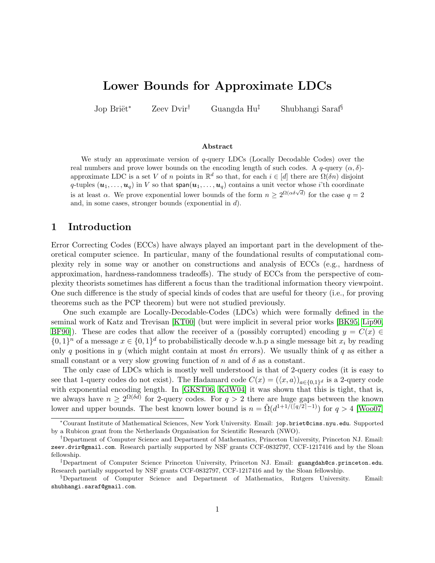# Lower Bounds for Approximate LDCs

Jop Briët<sup>\*</sup> Zeev Dvir<sup>†</sup> Guangda Hu<sup>‡</sup> Shubhangi Saraf<sup>§</sup>

#### Abstract

We study an approximate version of q-query LDCs (Locally Decodable Codes) over the real numbers and prove lower bounds on the encoding length of such codes. A  $q$ -query  $(\alpha, \delta)$ approximate LDC is a set V of n points in  $\mathbb{R}^d$  so that, for each  $i \in [d]$  there are  $\Omega(\delta n)$  disjoint q-tuples  $(\boldsymbol{u}_1,\ldots,\boldsymbol{u}_q)$  in V so that span $(\boldsymbol{u}_1,\ldots,\boldsymbol{u}_q)$  contains a unit vector whose *i*'th coordinate is at least  $\alpha$ . We prove exponential lower bounds of the form  $n \geq 2^{\Omega(\alpha \delta \sqrt{d})}$  for the case  $q = 2$ and, in some cases, stronger bounds (exponential in d).

# 1 Introduction

Error Correcting Codes (ECCs) have always played an important part in the development of theoretical computer science. In particular, many of the foundational results of computational complexity rely in some way or another on constructions and analysis of ECCs (e.g., hardness of approximation, hardness-randomness tradeoffs). The study of ECCs from the perspective of complexity theorists sometimes has different a focus than the traditional information theory viewpoint. One such difference is the study of special kinds of codes that are useful for theory (i.e., for proving theorems such as the PCP theorem) but were not studied previously.

One such example are Locally-Decodable-Codes (LDCs) which were formally defined in the seminal work of Katz and Trevisan [\[KT00\]](#page-17-0) (but were implicit in several prior works [\[BK95,](#page-16-0) [Lip90,](#page-17-1) [BF90\]](#page-16-1)). These are codes that allow the receiver of a (possibly corrupted) encoding  $y = C(x) \in$  $\{0,1\}^n$  of a message  $x \in \{0,1\}^d$  to probabilistically decode w.h.p a single message bit  $x_i$  by reading only q positions in y (which might contain at most  $\delta n$  errors). We usually think of q as either a small constant or a very slow growing function of n and of  $\delta$  as a constant.

The only case of LDCs which is mostly well understood is that of 2-query codes (it is easy to see that 1-query codes do not exist). The Hadamard code  $C(x) = (\langle x, a \rangle)_{a \in \{0,1\}^d}$  is a 2-query code with exponential encoding length. In [\[GKST06,](#page-17-2) [KdW04\]](#page-17-3) it was shown that this is tight, that is, we always have  $n \geq 2^{\Omega(\delta d)}$  for 2-query codes. For  $q > 2$  there are huge gaps between the known lower and upper bounds. The best known lower bound is  $n = \tilde{\Omega}(d^{1+1/(\lceil q/2 \rceil-1)})$  for  $q > 4$  [\[Woo07\]](#page-18-0)

<sup>∗</sup>Courant Institute of Mathematical Sciences, New York University. Email: jop.briet@cims.nyu.edu. Supported by a Rubicon grant from the Netherlands Organisation for Scientific Research (NWO).

<sup>†</sup>Department of Computer Science and Department of Mathematics, Princeton University, Princeton NJ. Email: zeev.dvir@gmail.com. Research partially supported by NSF grants CCF-0832797, CCF-1217416 and by the Sloan fellowship.

<sup>‡</sup>Department of Computer Science Princeton University, Princeton NJ. Email: guangdah@cs.princeton.edu. Research partially supported by NSF grants CCF-0832797, CCF-1217416 and by the Sloan fellowship.

<sup>§</sup>Department of Computer Science and Department of Mathematics, Rutgers University. Email: shubhangi.saraf@gmail.com.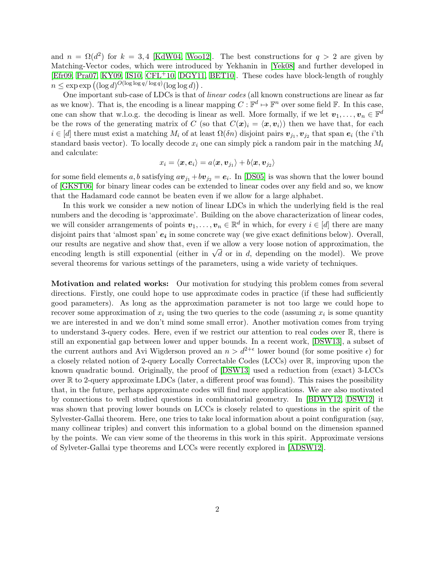and  $n = \Omega(d^2)$  for  $k = 3,4$  [\[KdW04,](#page-17-3) [Woo12\]](#page-18-1). The best constructions for  $q > 2$  are given by Matching-Vector codes, which were introduced by Yekhanin in [\[Yek08\]](#page-18-2) and further developed in [\[Efr09,](#page-17-4) [Pra07,](#page-17-5) [KY09,](#page-17-6) [IS10,](#page-17-7) [CFL](#page-17-8)+10, [DGY11,](#page-17-9) [BET10\]](#page-16-2). These codes have block-length of roughly  $n \leq \exp \exp \left( (\log d)^{O(\log \log q/\log q)} (\log \log d) \right).$ 

One important sub-case of LDCs is that of linear codes (all known constructions are linear as far as we know). That is, the encoding is a linear mapping  $C: \mathbb{F}^d \mapsto \mathbb{F}^n$  over some field  $\mathbb{F}$ . In this case, one can show that w.l.o.g. the decoding is linear as well. More formally, if we let  $v_1, \ldots, v_n \in \mathbb{F}^d$ be the rows of the generating matrix of C (so that  $C(\mathbf{x})_i = \langle \mathbf{x}, \mathbf{v}_i \rangle$ ) then we have that, for each  $i \in [d]$  there must exist a matching  $M_i$  of at least  $\Omega(\delta n)$  disjoint pairs  $v_{j_1}, v_{j_2}$  that span  $e_i$  (the *i*'th standard basis vector). To locally decode  $x_i$  one can simply pick a random pair in the matching  $M_i$ and calculate:

$$
x_i = \langle \boldsymbol{x}, \boldsymbol{e}_i \rangle = a \langle \boldsymbol{x}, \boldsymbol{v}_{j_1} \rangle + b \langle \boldsymbol{x}, \boldsymbol{v}_{j_2} \rangle
$$

for some field elements a, b satisfying  $av_{j_1} + bv_{j_2} = e_i$ . In [\[DS05\]](#page-17-10) is was shown that the lower bound of [\[GKST06\]](#page-17-2) for binary linear codes can be extended to linear codes over any field and so, we know that the Hadamard code cannot be beaten even if we allow for a large alphabet.

In this work we consider a new notion of linear LDCs in which the underlying field is the real numbers and the decoding is 'approximate'. Building on the above characterization of linear codes, we will consider arrangements of points  $v_1, \ldots, v_n \in \mathbb{R}^d$  in which, for every  $i \in [d]$  there are many disjoint pairs that 'almost span'  $e_i$  in some concrete way (we give exact definitions below). Overall, our results are negative and show that, even if we allow a very loose notion of approximation, the our results are negative and show that, even if we allow a very loose notion of approximation, the encoding length is still exponential (either in  $\sqrt{d}$  or in d, depending on the model). We prove several theorems for various settings of the parameters, using a wide variety of techniques.

Motivation and related works: Our motivation for studying this problem comes from several directions. Firstly, one could hope to use approximate codes in practice (if these had sufficiently good parameters). As long as the approximation parameter is not too large we could hope to recover some approximation of  $x_i$  using the two queries to the code (assuming  $x_i$  is some quantity we are interested in and we don't mind some small error). Another motivation comes from trying to understand 3-query codes. Here, even if we restrict our attention to real codes over R, there is still an exponential gap between lower and upper bounds. In a recent work, [\[DSW13\]](#page-17-11), a subset of the current authors and Avi Wigderson proved an  $n > d^{2+\epsilon}$  lower bound (for some positive  $\epsilon$ ) for a closely related notion of 2-query Locally Correctable Codes (LCCs) over R, improving upon the known quadratic bound. Originally, the proof of [\[DSW13\]](#page-17-11) used a reduction from (exact) 3-LCCs over R to 2-query approximate LDCs (later, a different proof was found). This raises the possibility that, in the future, perhaps approximate codes will find more applications. We are also motivated by connections to well studied questions in combinatorial geometry. In [\[BDWY12,](#page-16-3) [DSW12\]](#page-17-12) it was shown that proving lower bounds on LCCs is closely related to questions in the spirit of the Sylvester-Gallai theorem. Here, one tries to take local information about a point configuration (say, many collinear triples) and convert this information to a global bound on the dimension spanned by the points. We can view some of the theorems in this work in this spirit. Approximate versions of Sylveter-Gallai type theorems and LCCs were recently explored in [\[ADSW12\]](#page-16-4).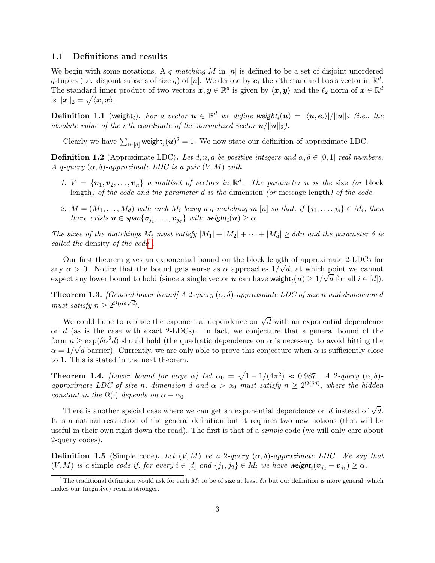### 1.1 Definitions and results

We begin with some notations. A q-matching M in  $[n]$  is defined to be a set of disjoint unordered q-tuples (i.e. disjoint subsets of size q) of [n]. We denote by  $e_i$  the *i*'th standard basis vector in  $\mathbb{R}^d$ . The standard inner product of two vectors  $x, y \in \mathbb{R}^d$  is given by  $\langle x, y \rangle$  and the  $\ell_2$  norm of  $x \in \mathbb{R}^d$ is  $\|\boldsymbol{x}\|_2 = \sqrt{\langle \boldsymbol{x}, \boldsymbol{x} \rangle}.$ 

**Definition 1.1** (weight<sub>i</sub>). For a vector  $u \in \mathbb{R}^d$  we define weight<sub>i</sub> $(u) = |\langle u, e_i \rangle| / \|u\|_2$  (i.e., the absolute value of the *i*'th coordinate of the normalized vector  $u/||u||_2$ ).

Clearly we have  $\sum_{i\in[d]}$  weight $_i(\boldsymbol{u})^2=1$ . We now state our definition of approximate LDC.

**Definition 1.2** (Approximate LDC). Let d, n, q be positive integers and  $\alpha, \delta \in [0, 1]$  real numbers. A q-query  $(\alpha, \delta)$ -approximate LDC is a pair  $(V, M)$  with

- 1.  $V = \{v_1, v_2, \ldots, v_n\}$  a multiset of vectors in  $\mathbb{R}^d$ . The parameter n is the size (or block length) of the code and the parameter d is the dimension (or message length) of the code.
- 2.  $M = (M_1, \ldots, M_d)$  with each  $M_i$  being a q-matching in [n] so that, if  $\{j_1, \ldots, j_q\} \in M_i$ , then there exists  $\boldsymbol{u}\in \mathsf{span}\{\boldsymbol{v}_{j_1},\ldots,\boldsymbol{v}_{j_q}\}$  with weight $_i(\boldsymbol{u})\geq \alpha.$

The sizes of the matchings  $M_i$  must satisfy  $|M_1| + |M_2| + \cdots + |M_d| \geq \delta d n$  and the parameter  $\delta$  is called the density of the code<sup>[1](#page-2-0)</sup>.

Our first theorem gives an exponential bound on the block length of approximate 2-LDCs for any  $\alpha > 0$ . Notice that the bound gets worse as  $\alpha$  approaches  $1/\sqrt{d}$ , at which point we cannot expect any lower bound to hold (since a single vector  $u$  can have weight $_i(u) \geq 1/\sqrt{d}$  for all  $i \in [d]$ ).

<span id="page-2-1"></span>**Theorem 1.3.** [General lower bound] A 2-query  $(\alpha, \delta)$ -approximate LDC of size n and dimension d must satisfy  $n \geq 2^{\Omega(\alpha \delta \sqrt{d})}$ .

We could hope to replace the exponential dependence on  $\sqrt{d}$  with an exponential dependence on d (as is the case with exact 2-LDCs). In fact, we conjecture that a general bound of the form  $n \geq \exp(\delta \alpha^2 d)$  should hold (the quadratic dependence on  $\alpha$  is necessary to avoid hitting the  $\alpha = 1/\sqrt{d}$  barrier). Currently, we are only able to prove this conjecture when  $\alpha$  is sufficiently close to 1. This is stated in the next theorem.

<span id="page-2-2"></span>**Theorem 1.4.** [Lower bound for large  $\alpha$ ] Let  $\alpha_0 = \sqrt{1 - 1/(4\pi^2)} \approx 0.987$ . A 2-query  $(\alpha, \delta)$ approximate LDC of size n, dimension d and  $\alpha > \alpha_0$  must satisfy  $n \geq 2^{\Omega(\delta d)}$ , where the hidden constant in the  $\Omega(\cdot)$  depends on  $\alpha - \alpha_0$ .

There is another special case where we can get an exponential dependence on  $d$  instead of  $\sqrt{d}$ . It is a natural restriction of the general definition but it requires two new notions (that will be useful in their own right down the road). The first is that of a *simple* code (we will only care about 2-query codes).

**Definition 1.5** (Simple code). Let  $(V, M)$  be a 2-query  $(\alpha, \delta)$ -approximate LDC. We say that  $(V, M)$  is a simple code if, for every  $i \in [d]$  and  $\{j_1, j_2\} \in M_i$  we have weight $_i(\mathbf{v}_{j_2} - \mathbf{v}_{j_1}) \ge \alpha$ .

<span id="page-2-0"></span><sup>&</sup>lt;sup>1</sup>The traditional definition would ask for each  $M_i$  to be of size at least  $\delta n$  but our definition is more general, which makes our (negative) results stronger.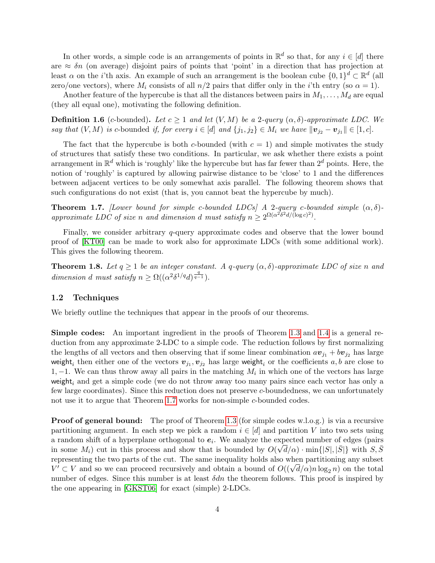In other words, a simple code is an arrangements of points in  $\mathbb{R}^d$  so that, for any  $i \in [d]$  there are  $\approx \delta n$  (on average) disjoint pairs of points that 'point' in a direction that has projection at least  $\alpha$  on the *i*'th axis. An example of such an arrangement is the boolean cube  $\{0,1\}^d \subset \mathbb{R}^d$  (all zero/one vectors), where  $M_i$  consists of all  $n/2$  pairs that differ only in the *i*'th entry (so  $\alpha = 1$ ).

Another feature of the hypercube is that all the distances between pairs in  $M_1, \ldots, M_d$  are equal (they all equal one), motivating the following definition.

**Definition 1.6** (c-bounded). Let  $c \ge 1$  and let  $(V, M)$  be a 2-query  $(\alpha, \delta)$ -approximate LDC. We say that  $(V, M)$  is c-bounded if, for every  $i \in [d]$  and  $\{j_1, j_2\} \in M_i$  we have  $\|\mathbf{v}_{j_2} - \mathbf{v}_{j_1}\| \in [1, c]$ .

The fact that the hypercube is both c-bounded (with  $c = 1$ ) and simple motivates the study of structures that satisfy these two conditions. In particular, we ask whether there exists a point arrangement in  $\mathbb{R}^d$  which is 'roughly' like the hypercube but has far fewer than  $2^d$  points. Here, the notion of 'roughly' is captured by allowing pairwise distance to be 'close' to 1 and the differences between adjacent vertices to be only somewhat axis parallel. The following theorem shows that such configurations do not exist (that is, you cannot beat the hypercube by much).

<span id="page-3-0"></span>**Theorem 1.7.** [Lower bound for simple c-bounded LDCs] A 2-query c-bounded simple  $(\alpha, \delta)$ approximate LDC of size n and dimension d must satisfy  $n \geq 2^{\Omega(\alpha^2 \delta^2 d/(\log c)^2)}$ .

Finally, we consider arbitrary q-query approximate codes and observe that the lower bound proof of [\[KT00\]](#page-17-0) can be made to work also for approximate LDCs (with some additional work). This gives the following theorem.

<span id="page-3-1"></span>**Theorem 1.8.** Let  $q \geq 1$  be an integer constant. A q-query  $(\alpha, \delta)$ -approximate LDC of size n and dimension d must satisfy  $n \geq \Omega((\alpha^2 \delta^{1/q} d)^{\frac{q}{q-1}})$ .

### 1.2 Techniques

We briefly outline the techniques that appear in the proofs of our theorems.

Simple codes: An important ingredient in the proofs of Theorem [1.3](#page-2-1) and [1.4](#page-2-2) is a general reduction from any approximate 2-LDC to a simple code. The reduction follows by first normalizing the lengths of all vectors and then observing that if some linear combination  $av_{i1} + bv_{i2}$  has large weight<sub>i</sub> then either one of the vectors  $\bm{v}_{j_1}, \bm{v}_{j_2}$  has large weight<sub>i</sub> or the coefficients  $a, b$  are close to 1, -1. We can thus throw away all pairs in the matching  $M_i$  in which one of the vectors has large weight, and get a simple code (we do not throw away too many pairs since each vector has only a few large coordinates). Since this reduction does not preserve c-boundedness, we can unfortunately not use it to argue that Theorem [1.7](#page-3-0) works for non-simple c-bounded codes.

**Proof of general bound:** The proof of Theorem [1.3](#page-2-1) (for simple codes w.l.o.g.) is via a recursive partitioning argument. In each step we pick a random  $i \in [d]$  and partition V into two sets using a random shift of a hyperplane orthogonal to  $e_i$ . We analyze the expected number of edges (pairs) in some  $M_i$ ) cut in this process and show that is bounded by  $O(\sqrt{d}/\alpha) \cdot \min\{|S|, |\bar{S}|\}$  with  $S, \bar{S}$ representing the two parts of the cut. The same inequality holds also when partitioning any subset representing the two parts of the cut. The same inequality holds also when partitioning any subset  $V' \subset V$  and so we can proceed recursively and obtain a bound of  $O((\sqrt{d}/\alpha) n \log_2 n)$  on the total number of edges. Since this number is at least  $\delta dn$  the theorem follows. This proof is inspired by the one appearing in [\[GKST06\]](#page-17-2) for exact (simple) 2-LDCs.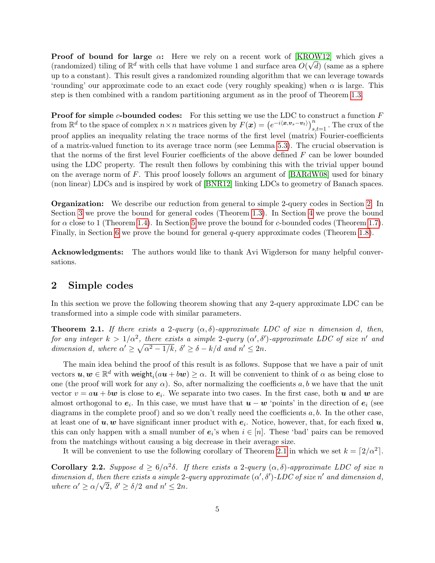**Proof of bound for large**  $\alpha$ **:** Here we rely on a recent work of [\[KROW12\]](#page-17-13) which gives a (randomized) tiling of  $\mathbb{R}^d$  with cells that have volume 1 and surface area  $O(\sqrt{d})$  (same as a sphere up to a constant). This result gives a randomized rounding algorithm that we can leverage towards 'rounding' our approximate code to an exact code (very roughly speaking) when  $\alpha$  is large. This step is then combined with a random partitioning argument as in the proof of Theorem [1.3.](#page-2-1)

**Proof for simple c-bounded codes:** For this setting we use the LDC to construct a function  $F$ from  $\mathbb{R}^d$  to the space of complex  $n \times n$  matrices given by  $F(\boldsymbol{x}) = (e^{-i\langle \boldsymbol{x}, \boldsymbol{v}_s - \boldsymbol{v}_t \rangle})_{s,t=1}^n$ . The crux of the proof applies an inequality relating the trace norms of the first level (matrix) Fourier-coefficients of a matrix-valued function to its average trace norm (see Lemma [5.3\)](#page-14-0). The crucial observation is that the norms of the first level Fourier coefficients of the above defined F can be lower bounded using the LDC property. The result then follows by combining this with the trivial upper bound on the average norm of  $F$ . This proof loosely follows an argument of  $|BARdW08|$  used for binary (non linear) LDCs and is inspired by work of [\[BNR12\]](#page-16-6) linking LDCs to geometry of Banach spaces.

Organization: We describe our reduction from general to simple 2-query codes in Section [2.](#page-4-0) In Section [3](#page-7-0) we prove the bound for general codes (Theorem [1.3\)](#page-2-1). In Section [4](#page-9-0) we prove the bound for  $\alpha$  close to 1 (Theorem [1.4\)](#page-2-2). In Section [5](#page-12-0) we prove the bound for c-bounded codes (Theorem [1.7\)](#page-3-0). Finally, in Section [6](#page-15-0) we prove the bound for general q-query approximate codes (Theorem [1.8\)](#page-3-1).

Acknowledgments: The authors would like to thank Avi Wigderson for many helpful conversations.

### <span id="page-4-0"></span>2 Simple codes

In this section we prove the following theorem showing that any 2-query approximate LDC can be transformed into a simple code with similar parameters.

<span id="page-4-1"></span>**Theorem 2.1.** If there exists a 2-query  $(\alpha, \delta)$ -approximate LDC of size n dimension d, then, for any integer  $k > 1/\alpha^2$ , there exists a simple 2-query  $(\alpha', \delta')$ -approximate LDC of size n' and dimension d, where  $\alpha' \geq \sqrt{\alpha^2 - 1/k}$ ,  $\delta' \geq \delta - k/d$  and  $n' \leq 2n$ .

The main idea behind the proof of this result is as follows. Suppose that we have a pair of unit vectors  $u, w \in \mathbb{R}^d$  with weight $_i(au + bw) \geq \alpha$ . It will be convenient to think of  $\alpha$  as being close to one (the proof will work for any  $\alpha$ ). So, after normalizing the coefficients a, b we have that the unit vector  $v = a\boldsymbol{u} + b\boldsymbol{w}$  is close to  $e_i$ . We separate into two cases. In the first case, both  $\boldsymbol{u}$  and  $\boldsymbol{w}$  are almost orthogonal to  $e_i$ . In this case, we must have that  $u - w$  'points' in the direction of  $e_i$  (see diagrams in the complete proof) and so we don't really need the coefficients  $a, b$ . In the other case, at least one of  $u, w$  have significant inner product with  $e_i$ . Notice, however, that, for each fixed  $u$ , this can only happen with a small number of  $e_i$ 's when  $i \in [n]$ . These 'bad' pairs can be removed from the matchings without causing a big decrease in their average size.

It will be convenient to use the following corollary of Theorem [2.1](#page-4-1) in which we set  $k = \lfloor 2/\alpha^2 \rfloor$ .

<span id="page-4-2"></span>**Corollary 2.2.** Suppose  $d \geq 6/\alpha^2\delta$ . If there exists a 2-query  $(\alpha, \delta)$ -approximate LDC of size n dimension d, then there exists a simple 2-query approximate  $(\alpha', \delta')$ -LDC of size n' and dimension d, where  $\alpha' \ge \alpha/\sqrt{2}$ ,  $\delta' \ge \delta/2$  and  $n' \le 2n$ .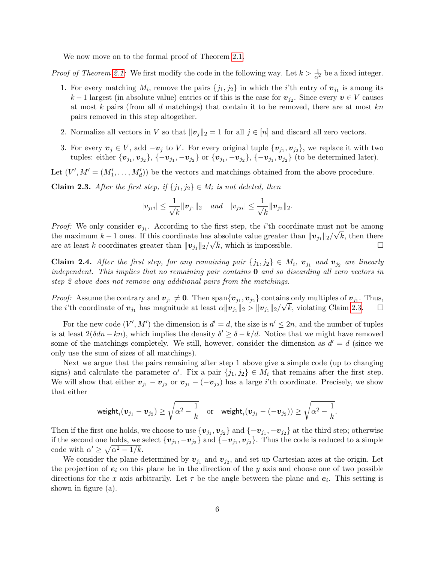We now move on to the formal proof of Theorem [2.1.](#page-4-1)

*Proof of Theorem [2.1:](#page-4-1)* We first modify the code in the following way. Let  $k > \frac{1}{\alpha^2}$  be a fixed integer.

- 1. For every matching  $M_i$ , remove the pairs  $\{j_1, j_2\}$  in which the *i*'th entry of  $v_{j_1}$  is among its  $k-1$  largest (in absolute value) entries or if this is the case for  $v_{j_2}$ . Since every  $v \in V$  causes at most k pairs (from all d matchings) that contain it to be removed, there are at most  $kn$ pairs removed in this step altogether.
- 2. Normalize all vectors in V so that  $||\mathbf{v}_j||_2 = 1$  for all  $j \in [n]$  and discard all zero vectors.
- 3. For every  $v_j \in V$ , add  $-v_j$  to V. For every original tuple  $\{v_{j_1}, v_{j_2}\}$ , we replace it with two tuples: either  $\{v_{j_1}, v_{j_2}\}, \{-v_{j_1}, -v_{j_2}\}$  or  $\{v_{j_1}, -v_{j_2}\}, \{-v_{j_1}, v_{j_2}\}$  (to be determined later).

Let  $(V', M' = (M'_1, \ldots, M'_d))$  be the vectors and matchings obtained from the above procedure.

<span id="page-5-0"></span>**Claim 2.3.** After the first step, if  $\{j_1, j_2\} \in M_i$  is not deleted, then

$$
|v_{j_1i}| \leq \frac{1}{\sqrt{k}} ||\mathbf{v}_{j_1}||_2
$$
 and  $|v_{j_2i}| \leq \frac{1}{\sqrt{k}} ||\mathbf{v}_{j_2}||_2$ .

*Proof:* We only consider  $v_{j_1}$ . According to the first step, the *i*'th coordinate must not be among the maximum k – 1 ones. If this coordinate has absolute value greater than  $||\mathbf{v}_{j_1}||_2/\sqrt{k}$ , then there are at least k coordinates greater than  $||\mathbf{v}_{j_1}||_2/\sqrt{k}$ , which is impossible.

Claim 2.4. After the first step, for any remaining pair  $\{j_1, j_2\} \in M_i$ ,  $v_{j_1}$  and  $v_{j_2}$  are linearly independent. This implies that no remaining pair contains  $\bf{0}$  and so discarding all zero vectors in step 2 above does not remove any additional pairs from the matchings.

*Proof:* Assume the contrary and  $v_{j_1} \neq 0$ . Then span $\{v_{j_1}, v_{j_2}\}$  contains only multiples of  $v_{j_1}$ . Thus, the *i*'th coordinate of  $v_{j_1}$  has magnitude at least  $\alpha ||v_{j_1}||_2 > ||v_{j_1}||_2/\sqrt{k}$ , violating Claim [2.3.](#page-5-0)

For the new code  $(V', M')$  the dimension is  $d' = d$ , the size is  $n' \leq 2n$ , and the number of tuples is at least  $2(\delta dn - kn)$ , which implies the density  $\delta' \geq \delta - k/d$ . Notice that we might have removed some of the matchings completely. We still, however, consider the dimension as  $d' = d$  (since we only use the sum of sizes of all matchings).

Next we argue that the pairs remaining after step 1 above give a simple code (up to changing signs) and calculate the parameter  $\alpha'$ . Fix a pair  $\{j_1, j_2\} \in M_i$  that remains after the first step. We will show that either  $v_{j_1} - v_{j_2}$  or  $v_{j_1} - (-v_{j_2})$  has a large *i*'th coordinate. Precisely, we show that either

$$
\mathsf{weight}_i(\boldsymbol{v}_{j_1}-\boldsymbol{v}_{j_2})\geq \sqrt{\alpha^2-\frac{1}{k}}\quad \text{or} \quad \mathsf{weight}_i(\boldsymbol{v}_{j_1}-(-\boldsymbol{v}_{j_2}))\geq \sqrt{\alpha^2-\frac{1}{k}}.
$$

Then if the first one holds, we choose to use  $\{\boldsymbol{v}_{j_1}, \boldsymbol{v}_{j_2}\}$  and  $\{-\boldsymbol{v}_{j_1}, -\boldsymbol{v}_{j_2}\}$  at the third step; otherwise if the second one holds, we select  $\{v_{j_1}, -v_{j_2}\}\$  and  $\{-v_{j_1}, v_{j_2}\}\$ . Thus the code is reduced to a simple code with  $\alpha' \geq \sqrt{\alpha^2 - 1/k}$ .

We consider the plane determined by  $v_{j_1}$  and  $v_{j_2}$ , and set up Cartesian axes at the origin. Let the projection of  $e_i$  on this plane be in the direction of the y axis and choose one of two possible directions for the x axis arbitrarily. Let  $\tau$  be the angle between the plane and  $e_i$ . This setting is shown in figure (a).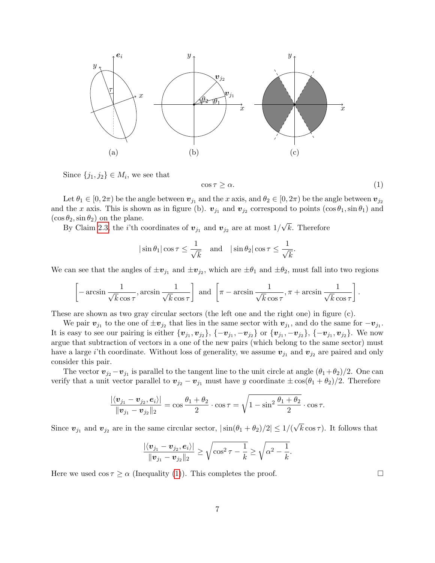

Since  $\{j_1, j_2\} \in M_i$ , we see that

<span id="page-6-0"></span> $\cos \tau \geq \alpha.$  (1)

Let  $\theta_1 \in [0, 2\pi)$  be the angle between  $\bm{v}_{j_1}$  and the x axis, and  $\theta_2 \in [0, 2\pi)$  be the angle between  $\bm{v}_{j_2}$ and the x axis. This is shown as in figure (b).  $v_{j_1}$  and  $v_{j_2}$  correspond to points  $(\cos \theta_1, \sin \theta_1)$  and  $(\cos \theta_2, \sin \theta_2)$  on the plane. √

By Claim [2.3,](#page-5-0) the *i*'th coordinates of  $v_{j_1}$  and  $v_{j_2}$  are at most  $1/$ k. Therefore

$$
|\sin \theta_1| \cos \tau \le \frac{1}{\sqrt{k}} \quad \text{and} \quad |\sin \theta_2| \cos \tau \le \frac{1}{\sqrt{k}}.
$$

We can see that the angles of  $\pm v_{j_1}$  and  $\pm v_{j_2}$ , which are  $\pm \theta_1$  and  $\pm \theta_2$ , must fall into two regions

$$
\left[-\arcsin\frac{1}{\sqrt{k}\cos\tau},\arcsin\frac{1}{\sqrt{k}\cos\tau}\right] \text{ and } \left[\pi-\arcsin\frac{1}{\sqrt{k}\cos\tau},\pi+\arcsin\frac{1}{\sqrt{k}\cos\tau}\right].
$$

These are shown as two gray circular sectors (the left one and the right one) in figure (c).

We pair  $v_{j_1}$  to the one of  $\pm v_{j_2}$  that lies in the same sector with  $v_{j_1}$ , and do the same for  $-v_{j_1}$ . It is easy to see our pairing is either  $\{v_{j_1}, v_{j_2}\}, \{-v_{j_1}, -v_{j_2}\}$  or  $\{v_{j_1}, -v_{j_2}\}, \{-v_{j_1}, v_{j_2}\}.$  We now argue that subtraction of vectors in a one of the new pairs (which belong to the same sector) must have a large *i*'th coordinate. Without loss of generality, we assume  $v_{j_1}$  and  $v_{j_2}$  are paired and only consider this pair.

The vector  $\mathbf{v}_{j_2} - \mathbf{v}_{j_1}$  is parallel to the tangent line to the unit circle at angle  $(\theta_1 + \theta_2)/2$ . One can verify that a unit vector parallel to  $v_{j_2} - v_{j_1}$  must have y coordinate  $\pm \cos(\theta_1 + \theta_2)/2$ . Therefore

$$
\frac{|\langle v_{j_1} - v_{j_2}, e_i \rangle|}{\|v_{j_1} - v_{j_2}\|_2} = \cos \frac{\theta_1 + \theta_2}{2} \cdot \cos \tau = \sqrt{1 - \sin^2 \frac{\theta_1 + \theta_2}{2}} \cdot \cos \tau.
$$

Since  $\mathbf{v}_{j_1}$  and  $\mathbf{v}_{j_2}$  are in the same circular sector,  $|\sin(\theta_1 + \theta_2)/2| \leq 1/($ √  $k \cos \tau$ ). It follows that

$$
\frac{|\langle v_{j_1}-v_{j_2}, e_i\rangle|}{\|v_{j_1}-v_{j_2}\|_2} \ge \sqrt{\cos^2\tau - \frac{1}{k}} \ge \sqrt{\alpha^2 - \frac{1}{k}}.
$$

Here we used  $\cos \tau \ge \alpha$  (Inequality [\(1\)](#page-6-0)). This completes the proof.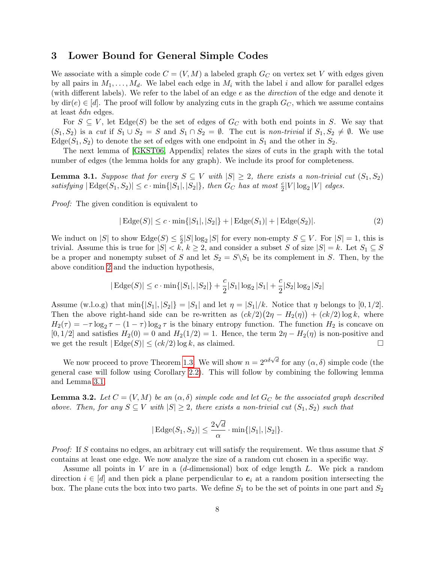# <span id="page-7-0"></span>3 Lower Bound for General Simple Codes

We associate with a simple code  $C = (V, M)$  a labeled graph  $G_C$  on vertex set V with edges given by all pairs in  $M_1, \ldots, M_d$ . We label each edge in  $M_i$  with the label i and allow for parallel edges (with different labels). We refer to the label of an edge  $e$  as the *direction* of the edge and denote it by  $\text{dir}(e) \in [d]$ . The proof will follow by analyzing cuts in the graph  $G_C$ , which we assume contains at least  $\delta dn$  edges.

For  $S \subseteq V$ , let Edge(S) be the set of edges of  $G_C$  with both end points in S. We say that  $(S_1, S_2)$  is a cut if  $S_1 \cup S_2 = S$  and  $S_1 \cap S_2 = \emptyset$ . The cut is non-trivial if  $S_1, S_2 \neq \emptyset$ . We use Edge( $S_1, S_2$ ) to denote the set of edges with one endpoint in  $S_1$  and the other in  $S_2$ .

The next lemma of [\[GKST06,](#page-17-2) Appendix] relates the sizes of cuts in the graph with the total number of edges (the lemma holds for any graph). We include its proof for completeness.

<span id="page-7-2"></span>**Lemma 3.1.** Suppose that for every  $S \subseteq V$  with  $|S| \geq 2$ , there exists a non-trivial cut  $(S_1, S_2)$ satisfying  $|\text{Edge}(S_1, S_2)| \leq c \cdot \min\{|S_1|, |S_2|\}$ , then  $G_C$  has at most  $\frac{c}{2}|V|\log_2|V|$  edges.

Proof: The given condition is equivalent to

<span id="page-7-1"></span>
$$
|\operatorname{Edge}(S)| \le c \cdot \min\{|S_1|, |S_2|\} + |\operatorname{Edge}(S_1)| + |\operatorname{Edge}(S_2)|. \tag{2}
$$

We induct on |S| to show Edge(S)  $\leq \frac{c}{2}$  $\frac{c}{2}|S|\log_2|S|$  for every non-empty  $S \subseteq V$ . For  $|S| = 1$ , this is trivial. Assume this is true for  $|S| < k$ ,  $k \geq 2$ , and consider a subset S of size  $|S| = k$ . Let  $S_1 \subseteq S$ be a proper and nonempty subset of S and let  $S_2 = S \setminus S_1$  be its complement in S. Then, by the above condition [2](#page-7-1) and the induction hypothesis,

$$
|\operatorname{Edge}(S)| \le c \cdot \min\{|S_1|, |S_2|\} + \frac{c}{2}|S_1| \log_2 |S_1| + \frac{c}{2}|S_2| \log_2 |S_2|
$$

Assume (w.l.o.g) that  $\min\{|S_1|, |S_2|\} = |S_1|$  and let  $\eta = |S_1|/k$ . Notice that  $\eta$  belongs to [0, 1/2]. Then the above right-hand side can be re-written as  $(ck/2)(2\eta - H_2(\eta)) + (ck/2) \log k$ , where  $H_2(\tau) = -\tau \log_2 \tau - (1 - \tau) \log_2 \tau$  is the binary entropy function. The function  $H_2$  is concave on  $[0, 1/2]$  and satisfies  $H_2(0) = 0$  and  $H_2(1/2) = 1$ . Hence, the term  $2\eta - H_2(\eta)$  is non-positive and we get the result  $|\text{Edge}(S)| \le (ck/2) \log k$ , as claimed.

We now proceed to prove Theorem [1.3.](#page-2-1) We will show  $n = 2^{\alpha \delta \sqrt{d}}$  for any  $(\alpha, \delta)$  simple code (the general case will follow using Corollary [2.2\)](#page-4-2). This will follow by combining the following lemma and Lemma [3.1.](#page-7-2)

**Lemma 3.2.** Let  $C = (V, M)$  be an  $(\alpha, \delta)$  simple code and let  $G_C$  be the associated graph described above. Then, for any  $S \subseteq V$  with  $|S| \geq 2$ , there exists a non-trivial cut  $(S_1, S_2)$  such that

$$
|\operatorname{Edge}(S_1, S_2)| \le \frac{2\sqrt{d}}{\alpha} \cdot \min\{|S_1|, |S_2|\}.
$$

Proof: If S contains no edges, an arbitrary cut will satisfy the requirement. We thus assume that S contains at least one edge. We now analyze the size of a random cut chosen in a specific way.

Assume all points in V are in a  $(d$ -dimensional) box of edge length L. We pick a random direction  $i \in [d]$  and then pick a plane perpendicular to  $e_i$  at a random position intersecting the box. The plane cuts the box into two parts. We define  $S_1$  to be the set of points in one part and  $S_2$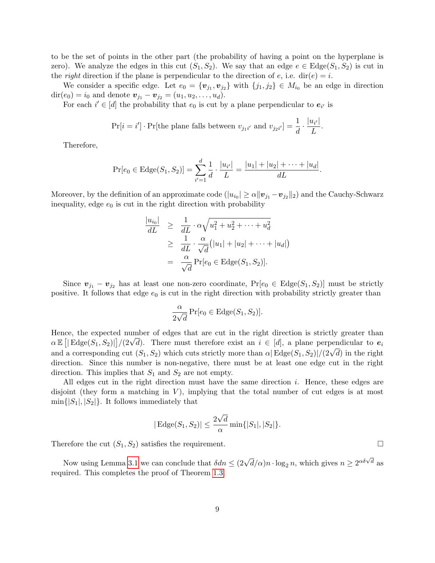to be the set of points in the other part (the probability of having a point on the hyperplane is zero). We analyze the edges in this cut  $(S_1, S_2)$ . We say that an edge  $e \in \text{Edge}(S_1, S_2)$  is cut in the *right* direction if the plane is perpendicular to the direction of  $e$ , i.e. dir( $e$ ) = i.

We consider a specific edge. Let  $e_0 = \{v_{j_1}, v_{j_2}\}\$  with  $\{j_1, j_2\}\in M_{i_0}$  be an edge in direction dir(e<sub>0</sub>) = i<sub>0</sub> and denote  $v_{j_1} - v_{j_2} = (u_1, u_2, \dots, u_d)$ .

For each  $i' \in [d]$  the probability that  $e_0$  is cut by a plane perpendicular to  $e_{i'}$  is

$$
\Pr[i = i'] \cdot \Pr[\text{the plane falls between } v_{j_1 i'} \text{ and } v_{j_2 i'}] = \frac{1}{d} \cdot \frac{|u_{i'}|}{L}.
$$

Therefore,

$$
\Pr[e_0 \in \text{Edge}(S_1, S_2)] = \sum_{i'=1}^d \frac{1}{d} \cdot \frac{|u_{i'}|}{L} = \frac{|u_1| + |u_2| + \dots + |u_d|}{dL}.
$$

Moreover, by the definition of an approximate code  $(|u_{i_0}| \ge \alpha ||v_{j_1} - v_{j_2}||_2)$  and the Cauchy-Schwarz inequality, edge  $e_0$  is cut in the right direction with probability

$$
\frac{|u_{i_0}|}{dL} \geq \frac{1}{dL} \cdot \alpha \sqrt{u_1^2 + u_2^2 + \dots + u_d^2}
$$
  
\n
$$
\geq \frac{1}{dL} \cdot \frac{\alpha}{\sqrt{d}} (|u_1| + |u_2| + \dots + |u_d|)
$$
  
\n
$$
= \frac{\alpha}{\sqrt{d}} \Pr[e_0 \in \text{Edge}(S_1, S_2)].
$$

Since  $\mathbf{v}_{j_1} - \mathbf{v}_{j_2}$  has at least one non-zero coordinate,  $Pr[e_0 \in Edge(S_1, S_2)]$  must be strictly positive. It follows that edge  $e_0$  is cut in the right direction with probability strictly greater than

$$
\frac{\alpha}{2\sqrt{d}}\Pr[e_0 \in \text{Edge}(S_1, S_2)].
$$

Hence, the expected number of edges that are cut in the right direction is strictly greater than hence, the expected number of edges that are cut in the right direction is strictly greater than  $\alpha \mathbb{E} [|\text{Edge}(S_1, S_2)|]/(2\sqrt{d})$ . There must therefore exist an  $i \in [d]$ , a plane perpendicular to  $e_i$  $\alpha$  E [Rege(51, 52)||/(2Va). There must therefore exist an  $i \in [a]$ , a plane perpendicular to  $e_i$ <br>and a corresponding cut  $(S_1, S_2)$  which cuts strictly more than  $\alpha$  Edge( $S_1, S_2$ )|/(2 $\sqrt{d}$ ) in the right direction. Since this number is non-negative, there must be at least one edge cut in the right direction. This implies that  $S_1$  and  $S_2$  are not empty.

All edges cut in the right direction must have the same direction i. Hence, these edges are disjoint (they form a matching in  $V$ ), implying that the total number of cut edges is at most  $\min\{|S_1|, |S_2|\}.$  It follows immediately that

$$
|\text{Edge}(S_1, S_2)| \leq \frac{2\sqrt{d}}{\alpha} \min\{|S_1|, |S_2|\}.
$$

Therefore the cut  $(S_1, S_2)$  satisfies the requirement.

Now using Lemma [3.1](#page-7-2) we can conclude that  $\delta dn \leq (2\sqrt{d}/\alpha)n \cdot \log_2 n$ , which gives  $n \geq 2^{\alpha \delta \sqrt{d}}$  as required. This completes the proof of Theorem [1.3.](#page-2-1)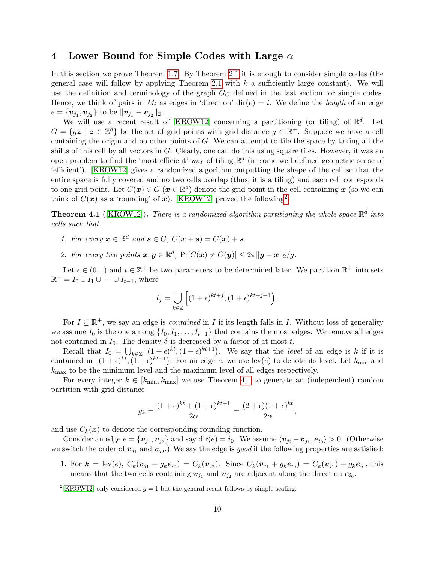### <span id="page-9-0"></span>4 Lower Bound for Simple Codes with Large  $\alpha$

In this section we prove Theorem [1.7.](#page-3-0) By Theorem [2.1](#page-4-1) it is enough to consider simple codes (the general case will follow by applying Theorem [2.1](#page-4-1) with  $k$  a sufficiently large constant). We will use the definition and terminology of the graph  $G_C$  defined in the last section for simple codes. Hence, we think of pairs in  $M_i$  as edges in 'direction'  $\text{dir}(e) = i$ . We define the length of an edge  $e = \{\bm{v}_{j_1}, \bm{v}_{j_2}\} \text{ to be } \|\bm{v}_{j_1} - \bm{v}_{j_2}\|_2.$ 

We will use a recent result of [\[KROW12\]](#page-17-13) concerning a partitioning (or tiling) of  $\mathbb{R}^d$ . Let  $G = \{gz \mid z \in \mathbb{Z}^d\}$  be the set of grid points with grid distance  $g \in \mathbb{R}^+$ . Suppose we have a cell containing the origin and no other points of  $G$ . We can attempt to tile the space by taking all the shifts of this cell by all vectors in  $G$ . Clearly, one can do this using square tiles. However, it was an open problem to find the 'most efficient' way of tiling  $\mathbb{R}^d$  (in some well defined geometric sense of 'efficient'). [\[KROW12\]](#page-17-13) gives a randomized algorithm outputting the shape of the cell so that the entire space is fully covered and no two cells overlap (thus, it is a tiling) and each cell corresponds to one grid point. Let  $C(\bm{x}) \in G$   $(\bm{x} \in \mathbb{R}^d)$  denote the grid point in the cell containing  $\bm{x}$  (so we can think of  $C(\boldsymbol{x})$  as a 'rounding' of  $\boldsymbol{x}$ ). [\[KROW12\]](#page-17-13) proved the following<sup>[2](#page-9-1)</sup>:

<span id="page-9-2"></span>**Theorem 4.1** ([\[KROW12\]](#page-17-13)). There is a randomized algorithm partitioning the whole space  $\mathbb{R}^d$  into cells such that

- 1. For every  $\mathbf{x} \in \mathbb{R}^d$  and  $\mathbf{s} \in G$ ,  $C(\mathbf{x} + \mathbf{s}) = C(\mathbf{x}) + \mathbf{s}$ .
- 2. For every two points  $\mathbf{x}, \mathbf{y} \in \mathbb{R}^d$ ,  $\Pr[C(\mathbf{x}) \neq C(\mathbf{y})] \leq 2\pi ||\mathbf{y} \mathbf{x}||_2/g$ .

Let  $\epsilon \in (0,1)$  and  $t \in \mathbb{Z}^+$  be two parameters to be determined later. We partition  $\mathbb{R}^+$  into sets  $\mathbb{R}^+ = I_0 \cup I_1 \cup \cdots \cup I_{t-1}$ , where

$$
I_j = \bigcup_{k \in \mathbb{Z}} \left[ (1+\epsilon)^{kt+j}, (1+\epsilon)^{kt+j+1} \right).
$$

For  $I \subseteq \mathbb{R}^+$ , we say an edge is *contained* in I if its length falls in I. Without loss of generality we assume  $I_0$  is the one among  $\{I_0, I_1, \ldots, I_{t-1}\}$  that contains the most edges. We remove all edges not contained in  $I_0$ . The density  $\delta$  is decreased by a factor of at most t.

Recall that  $I_0 = \bigcup_{k \in \mathbb{Z}} \left[ (1+\epsilon)^{kt}, (1+\epsilon)^{kt+1} \right]$ . We say that the *level* of an edge is k if it is contained in  $[(1+\epsilon)^{kt}, (1+\epsilon)^{kt+1})$ . For an edge e, we use lev(e) to denote its level. Let  $k_{\min}$  and  $k_{\text{max}}$  to be the minimum level and the maximum level of all edges respectively.

For every integer  $k \in [k_{\text{min}}, k_{\text{max}}]$  we use Theorem [4.1](#page-9-2) to generate an (independent) random partition with grid distance

$$
g_k = \frac{(1+\epsilon)^{kt} + (1+\epsilon)^{kt+1}}{2\alpha} = \frac{(2+\epsilon)(1+\epsilon)^{kt}}{2\alpha},
$$

and use  $C_k(x)$  to denote the corresponding rounding function.

Consider an edge  $e = \{v_{j_1}, v_{j_2}\}\$ and say dir $(e) = i_0$ . We assume  $\langle v_{j_2} - v_{j_1}, e_{i_0} \rangle > 0$ . (Otherwise we switch the order of  $v_{j_1}$  and  $v_{j_2}$ .) We say the edge is good if the following properties are satisfied:

1. For  $k = \text{lev}(e)$ ,  $C_k(\mathbf{v}_{j_1} + g_k \mathbf{e}_{i_0}) = C_k(\mathbf{v}_{j_2})$ . Since  $C_k(\mathbf{v}_{j_1} + g_k \mathbf{e}_{i_0}) = C_k(\mathbf{v}_{j_1}) + g_k \mathbf{e}_{i_0}$ , this means that the two cells containing  $v_{j_1}$  and  $v_{j_2}$  are adjacent along the direction  $e_{i_0}$ .

<span id="page-9-1"></span><sup>&</sup>lt;sup>2</sup>[\[KROW12\]](#page-17-13) only considered  $g = 1$  but the general result follows by simple scaling.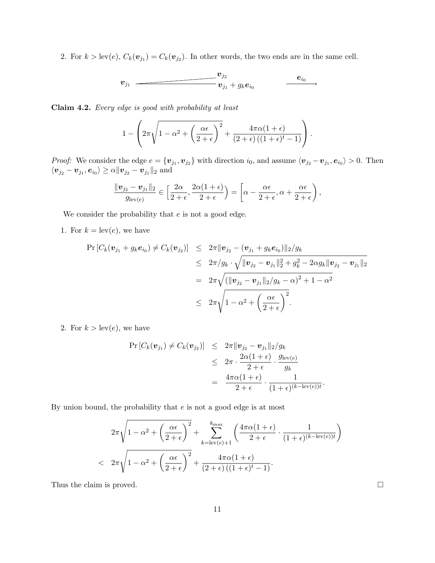2. For  $k > \text{lev}(e)$ ,  $C_k(\mathbf{v}_{j_1}) = C_k(\mathbf{v}_{j_2})$ . In other words, the two ends are in the same cell.

$$
\boldsymbol{v}_{j_1} \hspace{2.5cm} \boldsymbol{v}_{j_2} \hspace{2.5cm} \boldsymbol{e}_{i_0} \hspace{2.5cm} \boldsymbol{e}_{i_0}
$$

Claim 4.2. Every edge is good with probability at least

$$
1 - \left(2\pi\sqrt{1 - \alpha^2 + \left(\frac{\alpha\epsilon}{2 + \epsilon}\right)^2} + \frac{4\pi\alpha(1 + \epsilon)}{(2 + \epsilon)((1 + \epsilon)^t - 1)}\right).
$$

*Proof:* We consider the edge  $e = \{v_{j_1}, v_{j_2}\}\$  with direction  $i_0$ , and assume  $\langle v_{j_2} - v_{j_1}, e_{i_0} \rangle > 0$ . Then  $\langle \boldsymbol{v}_{j_2}-\boldsymbol{v}_{j_1}, \boldsymbol{e}_{i_0}\rangle\geq \alpha \|\boldsymbol{v}_{j_2}-\boldsymbol{v}_{j_1}\|_2 \,\,\mathrm{and}$ 

$$
\frac{\|\mathbf{v}_{j_2}-\mathbf{v}_{j_1}\|_2}{g_{\text{lev}(e)}} \in \left[\frac{2\alpha}{2+\epsilon}, \frac{2\alpha(1+\epsilon)}{2+\epsilon}\right) = \left[\alpha - \frac{\alpha\epsilon}{2+\epsilon}, \alpha + \frac{\alpha\epsilon}{2+\epsilon}\right),
$$

We consider the probability that  $e$  is not a good edge.

1. For  $k = \text{lev}(e)$ , we have

$$
\Pr\left[C_k(\mathbf{v}_{j_1} + g_k \mathbf{e}_{i_0}) \neq C_k(\mathbf{v}_{j_2})\right] \leq 2\pi \|\mathbf{v}_{j_2} - (\mathbf{v}_{j_1} + g_k \mathbf{e}_{i_0})\|_2/g_k
$$
  
\n
$$
\leq 2\pi / g_k \cdot \sqrt{\|\mathbf{v}_{j_2} - \mathbf{v}_{j_1}\|_2^2 + g_k^2 - 2\alpha g_k \|\mathbf{v}_{j_2} - \mathbf{v}_{j_1}\|_2}
$$
  
\n
$$
= 2\pi \sqrt{(\|\mathbf{v}_{j_2} - \mathbf{v}_{j_1}\|_2/g_k - \alpha)^2 + 1 - \alpha^2}
$$
  
\n
$$
\leq 2\pi \sqrt{1 - \alpha^2 + \left(\frac{\alpha \epsilon}{2 + \epsilon}\right)^2}.
$$

2. For  $k > \text{lev}(e)$ , we have

$$
\Pr\left[C_k(\boldsymbol{v}_{j_1}) \neq C_k(\boldsymbol{v}_{j_2})\right] \leq 2\pi \|\boldsymbol{v}_{j_2} - \boldsymbol{v}_{j_1}\|_2/g_k
$$
  
\n
$$
\leq 2\pi \cdot \frac{2\alpha(1+\epsilon)}{2+\epsilon} \cdot \frac{g_{\text{lev}}(\epsilon)}{g_k}
$$
  
\n
$$
= \frac{4\pi\alpha(1+\epsilon)}{2+\epsilon} \cdot \frac{1}{(1+\epsilon)^{(k-\text{lev}(\epsilon))t}}.
$$

By union bound, the probability that  $e$  is not a good edge is at most

$$
2\pi\sqrt{1-\alpha^2+\left(\frac{\alpha\epsilon}{2+\epsilon}\right)^2}+\sum_{k=\text{lev}(e)+1}^{k_{\text{max}}}\left(\frac{4\pi\alpha(1+\epsilon)}{2+\epsilon}\cdot\frac{1}{(1+\epsilon)^{(k-\text{lev}(e))t}}\right)
$$
  

$$
< 2\pi\sqrt{1-\alpha^2+\left(\frac{\alpha\epsilon}{2+\epsilon}\right)^2}+\frac{4\pi\alpha(1+\epsilon)}{(2+\epsilon)((1+\epsilon)^t-1)}.
$$

Thus the claim is proved.  $\square$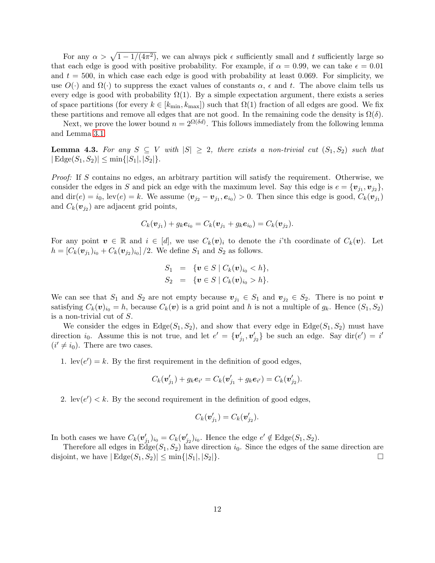For any  $\alpha > \sqrt{1-1/(4\pi^2)}$ , we can always pick  $\epsilon$  sufficiently small and t sufficiently large so that each edge is good with positive probability. For example, if  $\alpha = 0.99$ , we can take  $\epsilon = 0.01$ and  $t = 500$ , in which case each edge is good with probability at least 0.069. For simplicity, we use  $O(\cdot)$  and  $\Omega(\cdot)$  to suppress the exact values of constants  $\alpha$ ,  $\epsilon$  and t. The above claim tells us every edge is good with probability  $\Omega(1)$ . By a simple expectation argument, there exists a series of space partitions (for every  $k \in [k_{\min}, k_{\max}]$ ) such that  $\Omega(1)$  fraction of all edges are good. We fix these partitions and remove all edges that are not good. In the remaining code the density is  $\Omega(\delta)$ .

Next, we prove the lower bound  $n = 2^{\Omega(\delta d)}$ . This follows immediately from the following lemma and Lemma [3.1.](#page-7-2)

**Lemma 4.3.** For any  $S \subseteq V$  with  $|S| \geq 2$ , there exists a non-trivial cut  $(S_1, S_2)$  such that  $|E \text{dge}(S_1, S_2)| \le \min\{|S_1|, |S_2|\}.$ 

Proof: If S contains no edges, an arbitrary partition will satisfy the requirement. Otherwise, we consider the edges in S and pick an edge with the maximum level. Say this edge is  $e = \{v_{j_1}, v_{j_2}\},\$ and  $\text{dir}(e) = i_0$ ,  $\text{lev}(e) = k$ . We assume  $\langle v_{j_2} - v_{j_1}, e_{i_0} \rangle > 0$ . Then since this edge is good,  $C_k(v_{j_1})$ and  $C_k(\boldsymbol{v}_{j_2})$  are adjacent grid points,

$$
C_k(\mathbf{v}_{j_1}) + g_k \mathbf{e}_{i_0} = C_k(\mathbf{v}_{j_1} + g_k \mathbf{e}_{i_0}) = C_k(\mathbf{v}_{j_2}).
$$

For any point  $v \in \mathbb{R}$  and  $i \in [d]$ , we use  $C_k(v)_i$  to denote the *i*'th coordinate of  $C_k(v)$ . Let  $h = [C_k(\bm{v}_{j_1})_{i_0} + C_k(\bm{v}_{j_2})_{i_0}]/2$ . We define  $S_1$  and  $S_2$  as follows.

$$
S_1 = \{ \mathbf{v} \in S \mid C_k(\mathbf{v})_{i_0} < h \},
$$
\n
$$
S_2 = \{ \mathbf{v} \in S \mid C_k(\mathbf{v})_{i_0} > h \}.
$$

We can see that  $S_1$  and  $S_2$  are not empty because  $v_{j_1} \in S_1$  and  $v_{j_2} \in S_2$ . There is no point v satisfying  $C_k(\mathbf{v})_{i_0} = h$ , because  $C_k(\mathbf{v})$  is a grid point and h is not a multiple of  $g_k$ . Hence  $(S_1, S_2)$ is a non-trivial cut of S.

We consider the edges in  $Edge(S_1, S_2)$ , and show that every edge in  $Edge(S_1, S_2)$  must have direction i<sub>0</sub>. Assume this is not true, and let  $e' = \{v'_{j_1}, v'_{j_2}\}\$ be such an edge. Say dir $(e') = i'$  $(i' \neq i_0)$ . There are two cases.

1.  $lev(e') = k$ . By the first requirement in the definition of good edges,

$$
C_k(\mathbf{v}'_{j_1}) + g_k \mathbf{e}_{i'} = C_k(\mathbf{v}'_{j_1} + g_k \mathbf{e}_{i'}) = C_k(\mathbf{v}'_{j_2}).
$$

2.  $\text{lev}(e') < k$ . By the second requirement in the definition of good edges,

$$
C_k(\boldsymbol{v}'_{j_1})=C_k(\boldsymbol{v}'_{j_2}).
$$

In both cases we have  $C_k(\mathbf{v}'_{j_1})_{i_0} = C_k(\mathbf{v}'_{j_2})_{i_0}$ . Hence the edge  $e' \notin \text{Edge}(S_1, S_2)$ .

Therefore all edges in  $Edge(S_1, S_2)$  have direction  $i_0$ . Since the edges of the same direction are disjoint, we have  $|\text{Edge}(S_1, S_2)| \le \min\{|S_1|, |S_2|\}.$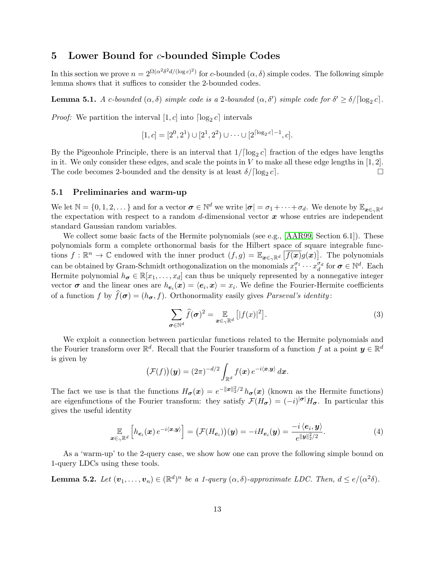# <span id="page-12-0"></span>5 Lower Bound for  $c$ -bounded Simple Codes

In this section we prove  $n = 2^{\Omega(\alpha^2 \delta^2 d/(\log c)^2)}$  for c-bounded  $(\alpha, \delta)$  simple codes. The following simple lemma shows that it suffices to consider the 2-bounded codes.

**Lemma 5.1.** A c-bounded  $(\alpha, \delta)$  simple code is a 2-bounded  $(\alpha, \delta')$  simple code for  $\delta' \ge \delta/[\log_2 c]$ .

*Proof:* We partition the interval  $[1, c]$  into  $\lceil \log_2 c \rceil$  intervals

$$
[1, c] = [2^0, 2^1) \cup [2^1, 2^2) \cup \cdots \cup [2^{\lceil \log_2 c \rceil - 1}, c].
$$

By the Pigeonhole Principle, there is an interval that  $1/[\log_2 c]$  fraction of the edges have lengths in it. We only consider these edges, and scale the points in  $V$  to make all these edge lengths in [1, 2]. The code becomes 2-bounded and the density is at least  $\delta/[\log_2 c]$ .  $c$ .

### 5.1 Preliminaries and warm-up

We let  $\mathbb{N} = \{0, 1, 2, \dots\}$  and for a vector  $\boldsymbol{\sigma} \in \mathbb{N}^d$  we write  $|\boldsymbol{\sigma}| = \sigma_1 + \cdots + \sigma_d$ . We denote by  $\mathbb{E}_{\boldsymbol{x} \in \gamma \mathbb{R}^d}$ the expectation with respect to a random d-dimensional vector  $x$  whose entries are independent standard Gaussian random variables.

We collect some basic facts of the Hermite polynomials (see e.g., [\[AAR99,](#page-16-7) Section 6.1]). These polynomials form a complete orthonormal basis for the Hilbert space of square integrable functions  $f: \mathbb{R}^n \to \mathbb{C}$  endowed with the inner product  $(f, g) = \mathbb{E}_{\boldsymbol{x} \in \gamma \mathbb{R}^d} \left[ \overline{f(\boldsymbol{x})} g(\boldsymbol{x}) \right]$ . The polynomials can be obtained by Gram-Schmidt orthogonalization on the monomials  $x_1^{\sigma_1} \cdots x_d^{\sigma_d}$  for  $\boldsymbol{\sigma} \in \mathbb{N}^d$ . Each Hermite polynomial  $h_{\sigma} \in \mathbb{R}[x_1,\ldots,x_d]$  can thus be uniquely represented by a nonnegative integer vector  $\sigma$  and the linear ones are  $h_{e_i}(x) = \langle e_i, x \rangle = x_i$ . We define the Fourier-Hermite coefficients of a function f by  $\widehat{f}(\sigma) = (h_{\sigma}, f)$ . Orthonormality easily gives *Parseval's identity*:

<span id="page-12-1"></span>
$$
\sum_{\sigma \in \mathbb{N}^d} \widehat{f}(\sigma)^2 = \mathop{\mathbb{E}}_{x \in \gamma \mathbb{R}^d} \left[ |f(x)|^2 \right]. \tag{3}
$$

We exploit a connection between particular functions related to the Hermite polynomials and the Fourier transform over  $\mathbb{R}^d$ . Recall that the Fourier transform of a function f at a point  $y \in \mathbb{R}^d$ is given by

$$
\big(\mathcal{F}(f)\big)(\boldsymbol{y}) = (2\pi)^{-d/2} \int_{\mathbb{R}^d} f(\boldsymbol{x}) e^{-i\langle \boldsymbol{x}, \boldsymbol{y} \rangle} d\boldsymbol{x}.
$$

The fact we use is that the functions  $H_{\sigma}(x) = e^{-\|x\|_2^2/2} h_{\sigma}(x)$  (known as the Hermite functions) are eigenfunctions of the Fourier transform: they satisfy  $\mathcal{F}(H_{\sigma}) = (-i)^{|\sigma|} H_{\sigma}$ . In particular this gives the useful identity

<span id="page-12-2"></span>
$$
\mathop{\mathbb{E}}_{\boldsymbol{x}\in\gamma\mathbb{R}^d}\left[h_{\boldsymbol{e}_i}(\boldsymbol{x})\,e^{-i\langle\boldsymbol{x},\boldsymbol{y}\rangle}\right] = \left(\mathcal{F}(H_{\boldsymbol{e}_i})\right)(\boldsymbol{y}) = -iH_{\boldsymbol{e}_i}(\boldsymbol{y}) = \frac{-i\,\langle\boldsymbol{e}_i,\boldsymbol{y}\rangle}{e^{\|\boldsymbol{y}\|_2^2/2}}.\tag{4}
$$

As a 'warm-up' to the 2-query case, we show how one can prove the following simple bound on 1-query LDCs using these tools.

**Lemma 5.2.** Let  $(v_1, \ldots, v_n) \in (\mathbb{R}^d)^n$  be a 1-query  $(\alpha, \delta)$ -approximate LDC. Then,  $d \le e/(\alpha^2 \delta)$ .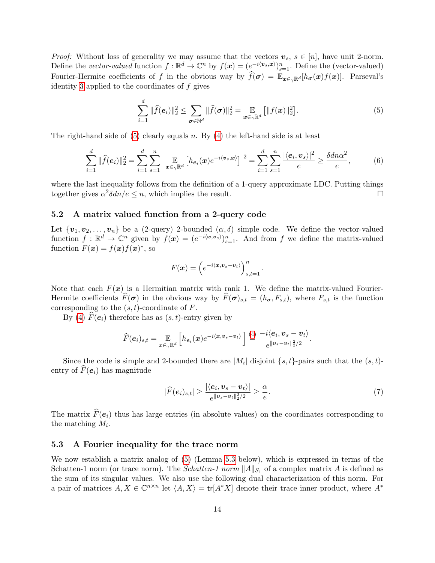*Proof:* Without loss of generality we may assume that the vectors  $v_s$ ,  $s \in [n]$ , have unit 2-norm. Define the vector-valued function  $f : \mathbb{R}^d \to \mathbb{C}^n$  by  $f(\mathbf{x}) = (e^{-i\langle \mathbf{v}_s, \mathbf{x} \rangle})_{s=1}^n$ . Define the (vector-valued) Fourier-Hermite coefficients of f in the obvious way by  $\widehat{f}(\sigma) = \mathbb{E}_{x \in \gamma \mathbb{R}^d}[h_{\sigma}(x)f(x)]$ . Parseval's identity [3](#page-12-1) applied to the coordinates of  $f$  gives

<span id="page-13-0"></span>
$$
\sum_{i=1}^{d} \|\widehat{f}(e_i)\|_2^2 \le \sum_{\sigma \in \mathbb{N}^d} \|\widehat{f}(\sigma)\|_2^2 = \mathop{\mathbb{E}}_{\bm{x} \in \gamma \mathbb{R}^d} \left[ \|f(\bm{x})\|_2^2 \right]. \tag{5}
$$

The right-hand side of  $(5)$  clearly equals n. By  $(4)$  the left-hand side is at least

$$
\sum_{i=1}^{d} \|\widehat{f}(e_i)\|_2^2 = \sum_{i=1}^{d} \sum_{s=1}^{n} \left| \mathop{\mathbb{E}}_{x \in \gamma \mathbb{R}^d} \left[ h_{e_i}(x) e^{-i \langle v_s, x \rangle} \right] \right|^2 = \sum_{i=1}^{d} \sum_{s=1}^{n} \frac{|\langle e_i, v_s \rangle|^2}{e} \ge \frac{\delta d n \alpha^2}{e},\tag{6}
$$

where the last inequality follows from the definition of a 1-query approximate LDC. Putting things together gives  $\alpha^2 \delta d n/e \leq n$ , which implies the result.

#### 5.2 A matrix valued function from a 2-query code

Let  $\{v_1, v_2, \ldots, v_n\}$  be a (2-query) 2-bounded  $(\alpha, \delta)$  simple code. We define the vector-valued function  $f: \mathbb{R}^d \to \mathbb{C}^n$  given by  $f(\mathbf{x}) = (e^{-i\langle \mathbf{x}, \mathbf{v}_s \rangle})_{s=1}^n$ . And from f we define the matrix-valued function  $F(\mathbf{x}) = f(\mathbf{x})f(\mathbf{x})^*$ , so

$$
F(\boldsymbol{x}) = \left(e^{-i\langle \boldsymbol{x}, \boldsymbol{v}_s - \boldsymbol{v}_t\rangle}\right)_{s,t=1}^n.
$$

Note that each  $F(x)$  is a Hermitian matrix with rank 1. We define the matrix-valued Fourier-Hermite coefficients  $\hat{F}(\sigma)$  in the obvious way by  $\hat{F}(\sigma)_{s,t} = (h_{\sigma}, F_{s,t})$ , where  $F_{s,t}$  is the function corresponding to the  $(s, t)$ -coordinate of  $F$ .

By [\(4\)](#page-12-2)  $F(e_i)$  therefore has as  $(s, t)$ -entry given by

$$
\widehat{F}(e_i)_{s,t} = \mathop{\mathbb{E}}_{x \in \gamma \mathbb{R}^d} \left[ h_{e_i}(x) e^{-i \langle x, v_s - v_t \rangle} \right] \stackrel{(4)}{=} \frac{-i \langle e_i, v_s - v_t \rangle}{e^{\|v_s - v_t\|_2^2/2}}.
$$

Since the code is simple and 2-bounded there are  $|M_i|$  disjoint  $\{s, t\}$ -pairs such that the  $(s, t)$ entry of  $\tilde{F}(\mathbf{e}_i)$  has magnitude

<span id="page-13-1"></span>
$$
|\widehat{F}(\boldsymbol{e}_i)_{s,t}| \geq \frac{|\langle \boldsymbol{e}_i, \boldsymbol{v}_s - \boldsymbol{v}_t \rangle|}{e^{\|\boldsymbol{v}_s - \boldsymbol{v}_t\|_2^2/2}} \geq \frac{\alpha}{e}.
$$
\n<sup>(7)</sup>

The matrix  $\hat{F}(e_i)$  thus has large entries (in absolute values) on the coordinates corresponding to the matching  $M_i$ .

### 5.3 A Fourier inequality for the trace norm

We now establish a matrix analog of [\(5\)](#page-13-0) (Lemma [5.3](#page-14-0) below), which is expressed in terms of the Schatten-1 norm (or trace norm). The *Schatten-1 norm*  $||A||_{S_1}$  of a complex matrix A is defined as the sum of its singular values. We also use the following dual characterization of this norm. For a pair of matrices  $A, X \in \mathbb{C}^{n \times n}$  let  $\langle A, X \rangle = \text{tr}[A^*X]$  denote their trace inner product, where  $A^*$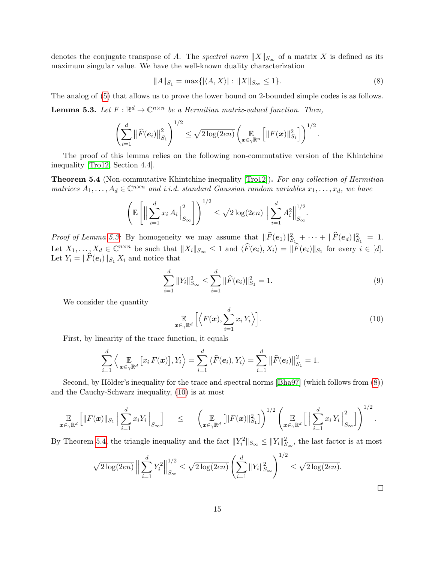denotes the conjugate transpose of A. The spectral norm  $||X||_{S_{\infty}}$  of a matrix X is defined as its maximum singular value. We have the well-known duality characterization

<span id="page-14-1"></span>
$$
||A||_{S_1} = \max\{|\langle A, X \rangle| : ||X||_{S_{\infty}} \le 1\}.
$$
\n(8)

<span id="page-14-0"></span>The analog of [\(5\)](#page-13-0) that allows us to prove the lower bound on 2-bounded simple codes is as follows. **Lemma 5.3.** Let  $F : \mathbb{R}^d \to \mathbb{C}^{n \times n}$  be a Hermitian matrix-valued function. Then,

$$
\left(\sum_{i=1}^d \|\widehat{F}(e_i)\|_{S_1}^2\right)^{1/2} \leq \sqrt{2\log(2en)} \left(\mathop{\mathbb{E}}_{\bm{x}\in\gamma\mathbb{R}^n}\left[\|F(\bm{x})\|_{S_1}^2\right]\right)^{1/2}.
$$

The proof of this lemma relies on the following non-commutative version of the Khintchine inequality [\[Tro12,](#page-17-14) Section 4.4].

<span id="page-14-3"></span>**Theorem 5.4** (Non-commutative Khintchine inequality [\[Tro12\]](#page-17-14)). For any collection of Hermitian matrices  $A_1, \ldots, A_d \in \mathbb{C}^{n \times n}$  and i.i.d. standard Gaussian random variables  $x_1, \ldots, x_d$ , we have

$$
\left(\mathbb{E}\left[\left\|\sum_{i=1}^{d} x_i A_i\right\|_{S_{\infty}}^2\right]\right)^{1/2} \leq \sqrt{2\log(2en)} \left\|\sum_{i=1}^{d} A_i^2\right\|_{S_{\infty}}^{1/2}
$$

Proof of Lemma [5.3:](#page-14-0) By homogeneity we may assume that  $\|\widehat{F}(e_1)\|_{S_1}^2 + \cdots + \|\widehat{F}(e_d)\|_{S_1}^2 = 1$ . Let  $X_1, \ldots, X_d \in \mathbb{C}^{n \times n}$  be such that  $||X_i||_{S_{\infty}} \leq 1$  and  $\langle \widehat{F}(e_i), X_i \rangle = ||\widehat{F}(e_i)||_{S_1}$  for every  $i \in [d]$ . Let  $Y_i = \|\widehat{F}(\mathbf{e}_i)\|_{S_1} X_i$  and notice that

$$
\sum_{i=1}^{d} ||Y_i||_{S_{\infty}}^2 \le \sum_{i=1}^{d} ||\widehat{F}(e_i)||_{S_1}^2 = 1.
$$
\n(9)

.

We consider the quantity

<span id="page-14-2"></span>
$$
\mathop{\mathbb{E}}_{\boldsymbol{x}\in\gamma\mathbb{R}^d}\Big[\Big\langle F(\boldsymbol{x}),\sum_{i=1}^d x_i\,Y_i\Big\rangle\Big].\tag{10}
$$

First, by linearity of the trace function, it equals

$$
\sum_{i=1}^d \left\langle \mathop{\mathbb{E}}_{\boldsymbol{x} \in \gamma \mathbb{R}^d} \left[ x_i F(\boldsymbol{x}) \right], Y_i \right\rangle = \sum_{i=1}^d \left\langle \widehat{F}(\boldsymbol{e}_i), Y_i \right\rangle = \sum_{i=1}^d \left\| \widehat{F}(\boldsymbol{e}_i) \right\|_{S_1}^2 = 1.
$$

Second, by Hölder's inequality for the trace and spectral norms [\[Bha97\]](#page-16-8) (which follows from  $(8)$ ) and the Cauchy-Schwarz inequality, [\(10\)](#page-14-2) is at most

$$
\mathop{\mathbb{E}}_{\boldsymbol{x}\in\gamma\mathbb{R}^d}\left[\|F(\boldsymbol{x})\|_{S_1}\Big\|\sum_{i=1}^d x_iY_i\Big\|_{S_{\infty}}\right] \quad \leq \quad \left(\mathop{\mathbb{E}}_{\boldsymbol{x}\in\gamma\mathbb{R}^d}\left[\|F(\boldsymbol{x})\|_{S_1}^2\right]\right)^{1/2}\left(\mathop{\mathbb{E}}_{\boldsymbol{x}\in\gamma\mathbb{R}^d}\left[\Big\|\sum_{i=1}^d x_i\,Y_i\Big\|_{S_{\infty}}^2\right]\right)^{1/2}.
$$

By Theorem [5.4,](#page-14-3) the triangle inequality and the fact  $||Y_i^2||_{S_{\infty}} \le ||Y_i||_{S_{\infty}}^2$ , the last factor is at most

$$
\sqrt{2\log(2en)} \left\| \sum_{i=1}^d Y_i^2 \right\|_{S_{\infty}}^{1/2} \le \sqrt{2\log(2en)} \left( \sum_{i=1}^d \|Y_i\|_{S_{\infty}}^2 \right)^{1/2} \le \sqrt{2\log(2en)}.
$$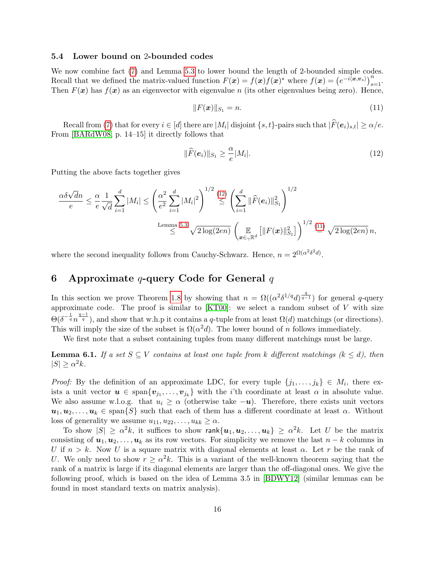### 5.4 Lower bound on 2-bounded codes

We now combine fact [\(7\)](#page-13-1) and Lemma [5.3](#page-14-0) to lower bound the length of 2-bounded simple codes. Recall that we defined the matrix-valued function  $F(x) = f(x)f(x)$ <sup>\*</sup> where  $f(x) = (e^{-i(x, v_s)})_{s=1}^n$ . Then  $F(x)$  has  $f(x)$  as an eigenvector with eigenvalue n (its other eigenvalues being zero). Hence,

<span id="page-15-2"></span>
$$
||F(\bm{x})||_{S_1} = n. \tag{11}
$$

Recall from [\(7\)](#page-13-1) that for every  $i \in [d]$  there are  $|M_i|$  disjoint  $\{s, t\}$ -pairs such that  $|F(e_i)_{s,t}| \ge \alpha/e$ . From [\[BARdW08,](#page-16-5) p. 14–15] it directly follows that

<span id="page-15-1"></span>
$$
\|\widehat{F}(e_i)\|_{S_1} \ge \frac{\alpha}{e}|M_i|.\tag{12}
$$

Putting the above facts together gives

$$
\frac{\alpha \delta \sqrt{d}n}{e} \leq \frac{\alpha}{e} \frac{1}{\sqrt{d}} \sum_{i=1}^{d} |M_i| \leq \left(\frac{\alpha^2}{e^2} \sum_{i=1}^{d} |M_i|^2\right)^{1/2} \leq \left(\sum_{i=1}^{d} \|\widehat{F}(e_i)\|_{S_1}^2\right)^{1/2}
$$
\nLemma 5.3\n
$$
\leq \frac{\text{Lemma 5.3}}{\sqrt{2\log(2en)}} \left(\frac{\mathbb{E}}{x \epsilon_{\gamma} \mathbb{R}^d} \left[\|F(x)\|_{S_1}^2\right]\right)^{1/2} \stackrel{(11)}{=} \sqrt{2\log(2en)} n,
$$

where the second inequality follows from Cauchy-Schwarz. Hence,  $n = 2^{\Omega(\alpha^2 \delta^2 d)}$ .

# <span id="page-15-0"></span>6 Approximate q-query Code for General  $q$

In this section we prove Theorem [1.8](#page-3-1) by showing that  $n = \Omega((\alpha^2 \delta^{1/q} d)^{\frac{q}{q-1}})$  for general q-query approximate code. The proof is similar to  $[KT00]$ : we select a random subset of V with size  $\Theta(\delta^{-\frac{1}{q}} n^{\frac{q-1}{q}})$ , and show that w.h.p it contains a q-tuple from at least  $\Omega(d)$  matchings (or directions). This will imply the size of the subset is  $\Omega(\alpha^2 d)$ . The lower bound of n follows immediately.

We first note that a subset containing tuples from many different matchings must be large.

<span id="page-15-3"></span>**Lemma 6.1.** If a set  $S \subseteq V$  contains at least one tuple from k different matchings  $(k \leq d)$ , then  $|S| \geq \alpha^2 k$ .

*Proof:* By the definition of an approximate LDC, for every tuple  $\{j_1, \ldots, j_k\} \in M_i$ , there exists a unit vector  $u \in \text{span}\{v_{j_1},...,v_{j_k}\}\$  with the *i*'th coordinate at least  $\alpha$  in absolute value. We also assume w.l.o.g. that  $u_i \geq \alpha$  (otherwise take  $-u$ ). Therefore, there exists unit vectors  $u_1, u_2, \ldots, u_k \in \text{span}\{S\}$  such that each of them has a different coordinate at least  $\alpha$ . Without loss of generality we assume  $u_{11}, u_{22}, \ldots, u_{kk} \ge \alpha$ .

To show  $|S|\,\geq\,\alpha^2 k,$  it suffices to show  ${\sf rank}\{{\bm u}_1,{\bm u}_2,\ldots,{\bm u}_k\}\,\geq\,\alpha^2 k.$  Let  $U$  be the matrix consisting of  $u_1, u_2, \ldots, u_k$  as its row vectors. For simplicity we remove the last  $n - k$  columns in U if  $n > k$ . Now U is a square matrix with diagonal elements at least  $\alpha$ . Let r be the rank of U. We only need to show  $r \geq \alpha^2 k$ . This is a variant of the well-known theorem saying that the rank of a matrix is large if its diagonal elements are larger than the off-diagonal ones. We give the following proof, which is based on the idea of Lemma 3.5 in [\[BDWY12\]](#page-16-3) (similar lemmas can be found in most standard texts on matrix analysis).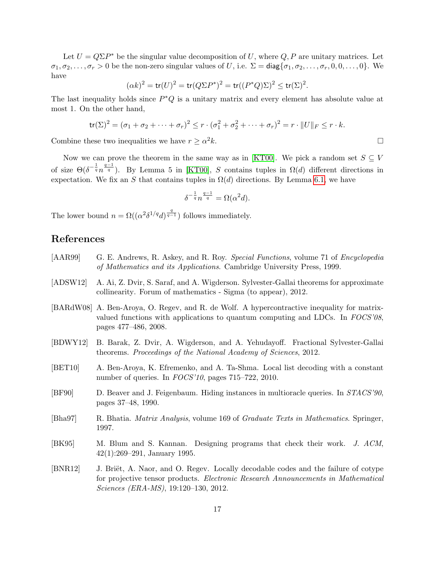Let  $U = Q \Sigma P^*$  be the singular value decomposition of U, where Q, P are unitary matrices. Let  $\sigma_1, \sigma_2, \ldots, \sigma_r > 0$  be the non-zero singular values of U, i.e.  $\Sigma = \text{diag}\{\sigma_1, \sigma_2, \ldots, \sigma_r, 0, 0, \ldots, 0\}$ . We have

$$
(\alpha k)^2 = \mathop{\mathsf{tr}}\nolimits(U)^2 = \mathop{\mathsf{tr}}\nolimits(Q \Sigma P^*)^2 = \mathop{\mathsf{tr}}\nolimits((P^*Q) \Sigma)^2 \le \mathop{\mathsf{tr}}\nolimits(\Sigma)^2.
$$

The last inequality holds since  $P^*Q$  is a unitary matrix and every element has absolute value at most 1. On the other hand,

$$
\text{tr}(\Sigma)^2 = (\sigma_1 + \sigma_2 + \dots + \sigma_r)^2 \le r \cdot (\sigma_1^2 + \sigma_2^2 + \dots + \sigma_r)^2 = r \cdot ||U||_F \le r \cdot k.
$$

Combine these two inequalities we have  $r \geq \alpha^2 k$ .  $2k$ .

Now we can prove the theorem in the same way as in [\[KT00\]](#page-17-0). We pick a random set  $S \subseteq V$ of size  $\Theta(\delta^{-\frac{1}{q}}n^{\frac{q-1}{q}})$ . By Lemma 5 in [\[KT00\]](#page-17-0), S contains tuples in  $\Omega(d)$  different directions in expectation. We fix an S that contains tuples in  $\Omega(d)$  directions. By Lemma [6.1,](#page-15-3) we have

$$
\delta^{-\frac{1}{q}}n^{\frac{q-1}{q}} = \Omega(\alpha^2 d).
$$

The lower bound  $n = \Omega((\alpha^2 \delta^{1/q} d)^{\frac{q}{q-1}})$  follows immediately.

# References

- <span id="page-16-7"></span>[AAR99] G. E. Andrews, R. Askey, and R. Roy. Special Functions, volume 71 of Encyclopedia of Mathematics and its Applications. Cambridge University Press, 1999.
- <span id="page-16-4"></span>[ADSW12] A. Ai, Z. Dvir, S. Saraf, and A. Wigderson. Sylvester-Gallai theorems for approximate collinearity. Forum of mathematics - Sigma (to appear), 2012.
- <span id="page-16-5"></span>[BARdW08] A. Ben-Aroya, O. Regev, and R. de Wolf. A hypercontractive inequality for matrixvalued functions with applications to quantum computing and LDCs. In FOCS'08, pages 477–486, 2008.
- <span id="page-16-3"></span>[BDWY12] B. Barak, Z. Dvir, A. Wigderson, and A. Yehudayoff. Fractional Sylvester-Gallai theorems. Proceedings of the National Academy of Sciences, 2012.
- <span id="page-16-2"></span>[BET10] A. Ben-Aroya, K. Efremenko, and A. Ta-Shma. Local list decoding with a constant number of queries. In FOCS'10, pages 715–722, 2010.
- <span id="page-16-1"></span>[BF90] D. Beaver and J. Feigenbaum. Hiding instances in multioracle queries. In STACS'90, pages 37–48, 1990.
- <span id="page-16-8"></span>[Bha97] R. Bhatia. Matrix Analysis, volume 169 of Graduate Texts in Mathematics. Springer, 1997.
- <span id="page-16-0"></span>[BK95] M. Blum and S. Kannan. Designing programs that check their work. J. ACM, 42(1):269–291, January 1995.
- <span id="page-16-6"></span>[BNR12] J. Briët, A. Naor, and O. Regev. Locally decodable codes and the failure of cotype for projective tensor products. Electronic Research Announcements in Mathematical Sciences (ERA-MS), 19:120–130, 2012.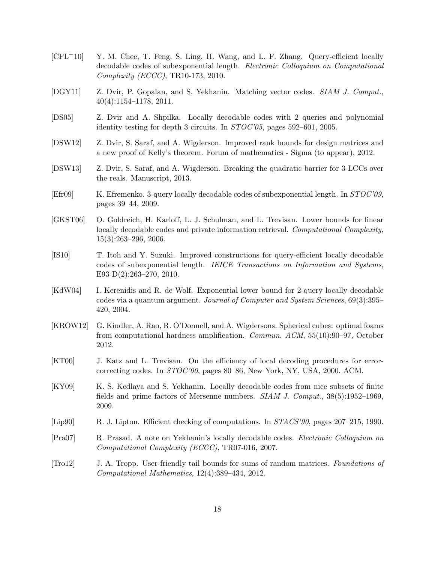- <span id="page-17-8"></span>[CFL+10] Y. M. Chee, T. Feng, S. Ling, H. Wang, and L. F. Zhang. Query-efficient locally decodable codes of subexponential length. Electronic Colloquium on Computational Complexity (ECCC), TR10-173, 2010.
- <span id="page-17-9"></span>[DGY11] Z. Dvir, P. Gopalan, and S. Yekhanin. Matching vector codes. SIAM J. Comput., 40(4):1154–1178, 2011.
- <span id="page-17-10"></span>[DS05] Z. Dvir and A. Shpilka. Locally decodable codes with 2 queries and polynomial identity testing for depth 3 circuits. In STOC'05, pages 592–601, 2005.
- <span id="page-17-12"></span>[DSW12] Z. Dvir, S. Saraf, and A. Wigderson. Improved rank bounds for design matrices and a new proof of Kelly's theorem. Forum of mathematics - Sigma (to appear), 2012.
- <span id="page-17-11"></span>[DSW13] Z. Dvir, S. Saraf, and A. Wigderson. Breaking the quadratic barrier for 3-LCCs over the reals. Manuscript, 2013.
- <span id="page-17-4"></span>[Efr09] K. Efremenko. 3-query locally decodable codes of subexponential length. In STOC'09, pages 39–44, 2009.
- <span id="page-17-2"></span>[GKST06] O. Goldreich, H. Karloff, L. J. Schulman, and L. Trevisan. Lower bounds for linear locally decodable codes and private information retrieval. Computational Complexity, 15(3):263–296, 2006.
- <span id="page-17-7"></span>[IS10] T. Itoh and Y. Suzuki. Improved constructions for query-efficient locally decodable codes of subexponential length. IEICE Transactions on Information and Systems, E93-D(2):263–270, 2010.
- <span id="page-17-3"></span>[KdW04] I. Kerenidis and R. de Wolf. Exponential lower bound for 2-query locally decodable codes via a quantum argument. Journal of Computer and System Sciences, 69(3):395– 420, 2004.
- <span id="page-17-13"></span>[KROW12] G. Kindler, A. Rao, R. O'Donnell, and A. Wigdersons. Spherical cubes: optimal foams from computational hardness amplification. Commun. ACM, 55(10):90–97, October 2012.
- <span id="page-17-0"></span>[KT00] J. Katz and L. Trevisan. On the efficiency of local decoding procedures for errorcorrecting codes. In STOC'00, pages 80–86, New York, NY, USA, 2000. ACM.
- <span id="page-17-6"></span>[KY09] K. S. Kedlaya and S. Yekhanin. Locally decodable codes from nice subsets of finite fields and prime factors of Mersenne numbers. SIAM J. Comput., 38(5):1952–1969, 2009.
- <span id="page-17-1"></span>[Lip90] R. J. Lipton. Efficient checking of computations. In  $STACS'90$ , pages 207–215, 1990.
- <span id="page-17-5"></span>[Pra07] R. Prasad. A note on Yekhanin's locally decodable codes. Electronic Colloquium on Computational Complexity (ECCC), TR07-016, 2007.
- <span id="page-17-14"></span>[Tro12] J. A. Tropp. User-friendly tail bounds for sums of random matrices. Foundations of Computational Mathematics, 12(4):389–434, 2012.